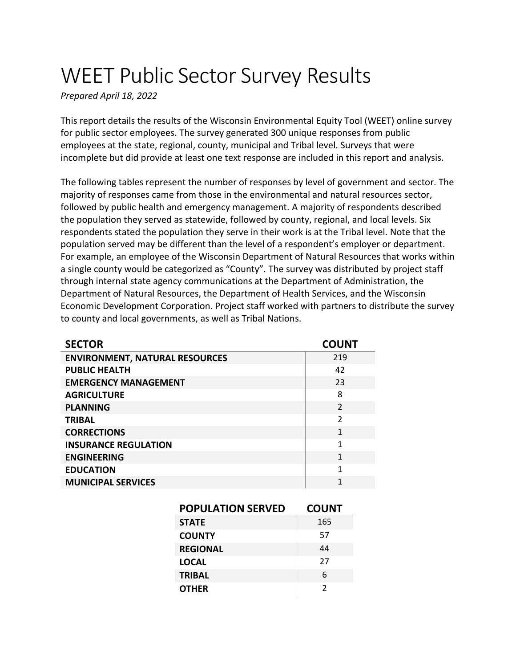# WEET Public Sector Survey Results

*Prepared April 18, 2022*

This report details the results of the Wisconsin Environmental Equity Tool (WEET) online survey for public sector employees. The survey generated 300 unique responses from public employees at the state, regional, county, municipal and Tribal level. Surveys that were incomplete but did provide at least one text response are included in this report and analysis.

The following tables represent the number of responses by level of government and sector. The majority of responses came from those in the environmental and natural resources sector, followed by public health and emergency management. A majority of respondents described the population they served as statewide, followed by county, regional, and local levels. Six respondents stated the population they serve in their work is at the Tribal level. Note that the population served may be different than the level of a respondent's employer or department. For example, an employee of the Wisconsin Department of Natural Resources that works within a single county would be categorized as "County". The survey was distributed by project staff through internal state agency communications at the Department of Administration, the Department of Natural Resources, the Department of Health Services, and the Wisconsin Economic Development Corporation. Project staff worked with partners to distribute the survey to county and local governments, as well as Tribal Nations.

| <b>SECTOR</b>                         | <b>COUNT</b>   |
|---------------------------------------|----------------|
| <b>ENVIRONMENT, NATURAL RESOURCES</b> | 219            |
| <b>PUBLIC HEALTH</b>                  | 42             |
| <b>EMERGENCY MANAGEMENT</b>           | 23             |
| <b>AGRICULTURE</b>                    | 8              |
| <b>PLANNING</b>                       | $\mathfrak{D}$ |
| <b>TRIBAL</b>                         | $\mathfrak{p}$ |
| <b>CORRECTIONS</b>                    | 1              |
| <b>INSURANCE REGULATION</b>           | 1              |
| <b>ENGINEERING</b>                    | 1              |
| <b>EDUCATION</b>                      | 1              |
| <b>MUNICIPAL SERVICES</b>             | 1              |

| <b>POPULATION SERVED</b> | <b>COUNT</b> |
|--------------------------|--------------|
| <b>STATE</b>             | 165          |
| <b>COUNTY</b>            | 57           |
| <b>REGIONAL</b>          | 44           |
| <b>LOCAL</b>             | 27           |
| <b>TRIBAL</b>            | 6            |
| <b>OTHER</b>             | 2            |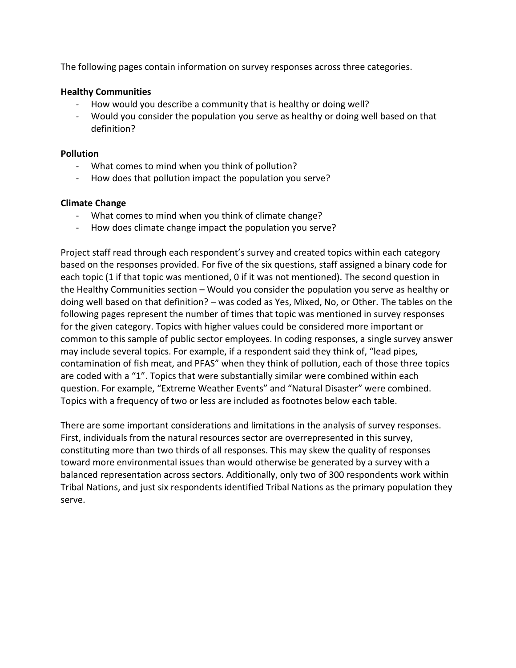The following pages contain information on survey responses across three categories.

#### **Healthy Communities**

- How would you describe a community that is healthy or doing well?
- Would you consider the population you serve as healthy or doing well based on that definition?

#### **Pollution**

- What comes to mind when you think of pollution?
- How does that pollution impact the population you serve?

#### **Climate Change**

- What comes to mind when you think of climate change?
- How does climate change impact the population you serve?

Project staff read through each respondent's survey and created topics within each category based on the responses provided. For five of the six questions, staff assigned a binary code for each topic (1 if that topic was mentioned, 0 if it was not mentioned). The second question in the Healthy Communities section – Would you consider the population you serve as healthy or doing well based on that definition? – was coded as Yes, Mixed, No, or Other. The tables on the following pages represent the number of times that topic was mentioned in survey responses for the given category. Topics with higher values could be considered more important or common to this sample of public sector employees. In coding responses, a single survey answer may include several topics. For example, if a respondent said they think of, "lead pipes, contamination of fish meat, and PFAS" when they think of pollution, each of those three topics are coded with a "1". Topics that were substantially similar were combined within each question. For example, "Extreme Weather Events" and "Natural Disaster" were combined. Topics with a frequency of two or less are included as footnotes below each table.

There are some important considerations and limitations in the analysis of survey responses. First, individuals from the natural resources sector are overrepresented in this survey, constituting more than two thirds of all responses. This may skew the quality of responses toward more environmental issues than would otherwise be generated by a survey with a balanced representation across sectors. Additionally, only two of 300 respondents work within Tribal Nations, and just six respondents identified Tribal Nations as the primary population they serve.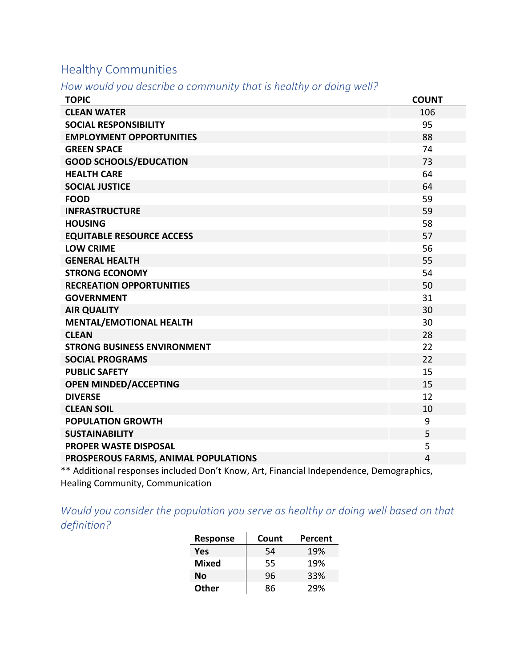## Healthy Communities

*How would you describe a community that is healthy or doing well?*

| <b>TOPIC</b>                         | <b>COUNT</b>   |
|--------------------------------------|----------------|
| <b>CLEAN WATER</b>                   | 106            |
| <b>SOCIAL RESPONSIBILITY</b>         | 95             |
| <b>EMPLOYMENT OPPORTUNITIES</b>      | 88             |
| <b>GREEN SPACE</b>                   | 74             |
| <b>GOOD SCHOOLS/EDUCATION</b>        | 73             |
| <b>HEALTH CARE</b>                   | 64             |
| <b>SOCIAL JUSTICE</b>                | 64             |
| <b>FOOD</b>                          | 59             |
| <b>INFRASTRUCTURE</b>                | 59             |
| <b>HOUSING</b>                       | 58             |
| <b>EQUITABLE RESOURCE ACCESS</b>     | 57             |
| <b>LOW CRIME</b>                     | 56             |
| <b>GENERAL HEALTH</b>                | 55             |
| <b>STRONG ECONOMY</b>                | 54             |
| <b>RECREATION OPPORTUNITIES</b>      | 50             |
| <b>GOVERNMENT</b>                    | 31             |
| <b>AIR QUALITY</b>                   | 30             |
| <b>MENTAL/EMOTIONAL HEALTH</b>       | 30             |
| <b>CLEAN</b>                         | 28             |
| <b>STRONG BUSINESS ENVIRONMENT</b>   | 22             |
| <b>SOCIAL PROGRAMS</b>               | 22             |
| <b>PUBLIC SAFETY</b>                 | 15             |
| <b>OPEN MINDED/ACCEPTING</b>         | 15             |
| <b>DIVERSE</b>                       | 12             |
| <b>CLEAN SOIL</b>                    | 10             |
| <b>POPULATION GROWTH</b>             | 9              |
| <b>SUSTAINABILITY</b>                | 5              |
| <b>PROPER WASTE DISPOSAL</b>         | 5              |
| PROSPEROUS FARMS, ANIMAL POPULATIONS | $\overline{4}$ |

\*\* Additional responses included Don't Know, Art, Financial Independence, Demographics, Healing Community, Communication

*Would you consider the population you serve as healthy or doing well based on that definition?*

| <b>Response</b> | Count | Percent |
|-----------------|-------|---------|
| Yes             | 54    | 19%     |
| <b>Mixed</b>    | 55    | 19%     |
| No              | 96    | 33%     |
| Other           | 86    | 29%     |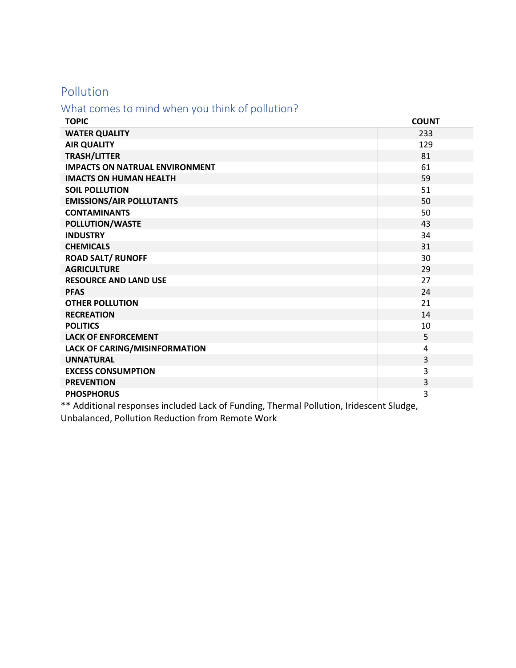### Pollution

#### What comes to mind when you think of pollution?

| <b>TOPIC</b>                          | <b>COUNT</b> |
|---------------------------------------|--------------|
| <b>WATER QUALITY</b>                  | 233          |
| <b>AIR QUALITY</b>                    | 129          |
| <b>TRASH/LITTER</b>                   | 81           |
| <b>IMPACTS ON NATRUAL ENVIRONMENT</b> | 61           |
| <b>IMACTS ON HUMAN HEALTH</b>         | 59           |
| <b>SOIL POLLUTION</b>                 | 51           |
| <b>EMISSIONS/AIR POLLUTANTS</b>       | 50           |
| <b>CONTAMINANTS</b>                   | 50           |
| POLLUTION/WASTE                       | 43           |
| <b>INDUSTRY</b>                       | 34           |
| <b>CHEMICALS</b>                      | 31           |
| <b>ROAD SALT/ RUNOFF</b>              | 30           |
| <b>AGRICULTURE</b>                    | 29           |
| <b>RESOURCE AND LAND USE</b>          | 27           |
| <b>PFAS</b>                           | 24           |
| <b>OTHER POLLUTION</b>                | 21           |
| <b>RECREATION</b>                     | 14           |
| <b>POLITICS</b>                       | 10           |
| <b>LACK OF ENFORCEMENT</b>            | 5            |
| LACK OF CARING/MISINFORMATION         | 4            |
| <b>UNNATURAL</b>                      | 3            |
| <b>EXCESS CONSUMPTION</b>             | 3            |
| <b>PREVENTION</b>                     | 3            |
| <b>PHOSPHORUS</b>                     | 3            |

\*\* Additional responses included Lack of Funding, Thermal Pollution, Iridescent Sludge, Unbalanced, Pollution Reduction from Remote Work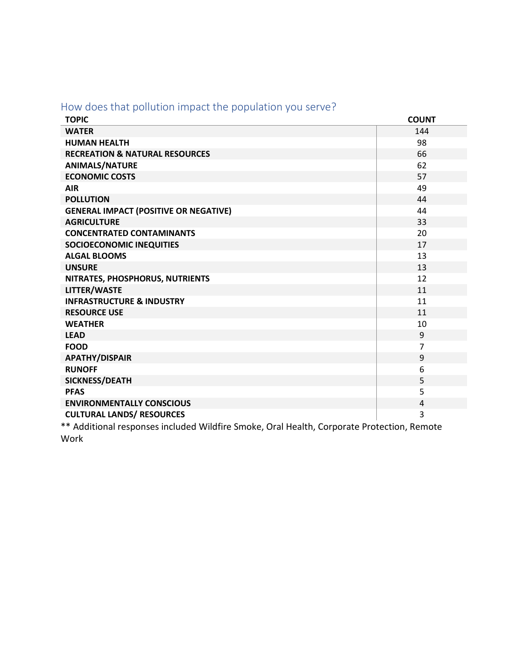|  | How does that pollution impact the population you serve? |  |  |  |
|--|----------------------------------------------------------|--|--|--|
|--|----------------------------------------------------------|--|--|--|

| <b>TOPIC</b>                                                                               | <b>COUNT</b>   |  |
|--------------------------------------------------------------------------------------------|----------------|--|
| <b>WATER</b>                                                                               | 144            |  |
| <b>HUMAN HEALTH</b>                                                                        | 98             |  |
| <b>RECREATION &amp; NATURAL RESOURCES</b>                                                  | 66             |  |
| <b>ANIMALS/NATURE</b>                                                                      | 62             |  |
| <b>ECONOMIC COSTS</b>                                                                      | 57             |  |
| <b>AIR</b>                                                                                 | 49             |  |
| <b>POLLUTION</b>                                                                           | 44             |  |
| <b>GENERAL IMPACT (POSITIVE OR NEGATIVE)</b>                                               | 44             |  |
| <b>AGRICULTURE</b>                                                                         | 33             |  |
| <b>CONCENTRATED CONTAMINANTS</b>                                                           | 20             |  |
| <b>SOCIOECONOMIC INEQUITIES</b>                                                            | 17             |  |
| <b>ALGAL BLOOMS</b>                                                                        | 13             |  |
| <b>UNSURE</b>                                                                              | 13             |  |
| NITRATES, PHOSPHORUS, NUTRIENTS                                                            | 12             |  |
| <b>LITTER/WASTE</b>                                                                        | 11             |  |
| <b>INFRASTRUCTURE &amp; INDUSTRY</b>                                                       | 11             |  |
| <b>RESOURCE USE</b>                                                                        | 11             |  |
| <b>WEATHER</b>                                                                             | 10             |  |
| <b>LEAD</b>                                                                                | 9              |  |
| <b>FOOD</b>                                                                                | $\overline{7}$ |  |
| <b>APATHY/DISPAIR</b>                                                                      | 9              |  |
| <b>RUNOFF</b>                                                                              | 6              |  |
| <b>SICKNESS/DEATH</b>                                                                      | 5              |  |
| <b>PFAS</b>                                                                                | 5              |  |
| <b>ENVIRONMENTALLY CONSCIOUS</b>                                                           | 4              |  |
| <b>CULTURAL LANDS/ RESOURCES</b>                                                           | 3              |  |
| ** Additional responses included Wildfire Smoke, Oral Health, Corporate Protection, Remote |                |  |

Work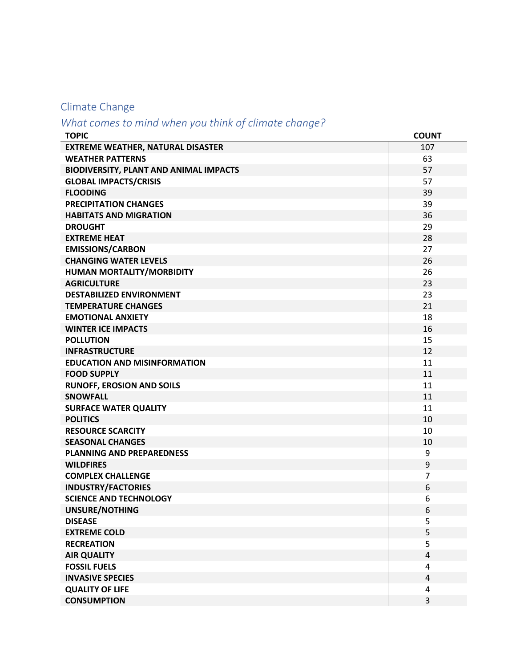## Climate Change

## *What comes to mind when you think of climate change?*

| <b>TOPIC</b>                                  | <b>COUNT</b>   |
|-----------------------------------------------|----------------|
| <b>EXTREME WEATHER, NATURAL DISASTER</b>      | 107            |
| <b>WEATHER PATTERNS</b>                       | 63             |
| <b>BIODIVERSITY, PLANT AND ANIMAL IMPACTS</b> | 57             |
| <b>GLOBAL IMPACTS/CRISIS</b>                  | 57             |
| <b>FLOODING</b>                               | 39             |
| <b>PRECIPITATION CHANGES</b>                  | 39             |
| <b>HABITATS AND MIGRATION</b>                 | 36             |
| <b>DROUGHT</b>                                | 29             |
| <b>EXTREME HEAT</b>                           | 28             |
| <b>EMISSIONS/CARBON</b>                       | 27             |
| <b>CHANGING WATER LEVELS</b>                  | 26             |
| HUMAN MORTALITY/MORBIDITY                     | 26             |
| <b>AGRICULTURE</b>                            | 23             |
| <b>DESTABILIZED ENVIRONMENT</b>               | 23             |
| <b>TEMPERATURE CHANGES</b>                    | 21             |
| <b>EMOTIONAL ANXIETY</b>                      | 18             |
| <b>WINTER ICE IMPACTS</b>                     | 16             |
| <b>POLLUTION</b>                              | 15             |
| <b>INFRASTRUCTURE</b>                         | 12             |
| <b>EDUCATION AND MISINFORMATION</b>           | 11             |
| <b>FOOD SUPPLY</b>                            | 11             |
| <b>RUNOFF, EROSION AND SOILS</b>              | 11             |
| <b>SNOWFALL</b>                               | 11             |
| <b>SURFACE WATER QUALITY</b>                  | 11             |
| <b>POLITICS</b>                               | 10             |
| <b>RESOURCE SCARCITY</b>                      | 10             |
| <b>SEASONAL CHANGES</b>                       | 10             |
| <b>PLANNING AND PREPAREDNESS</b>              | 9              |
| <b>WILDFIRES</b>                              | 9              |
| <b>COMPLEX CHALLENGE</b>                      | $\overline{7}$ |
| <b>INDUSTRY/FACTORIES</b>                     | 6              |
| <b>SCIENCE AND TECHNOLOGY</b>                 | 6              |
| <b>UNSURE/NOTHING</b>                         | 6              |
| <b>DISEASE</b>                                | 5              |
| <b>EXTREME COLD</b>                           | 5              |
| <b>RECREATION</b>                             | 5              |
| <b>AIR QUALITY</b>                            | $\overline{4}$ |
| <b>FOSSIL FUELS</b>                           | 4              |
| <b>INVASIVE SPECIES</b>                       | $\overline{4}$ |
| <b>QUALITY OF LIFE</b>                        | 4              |
| <b>CONSUMPTION</b>                            | 3              |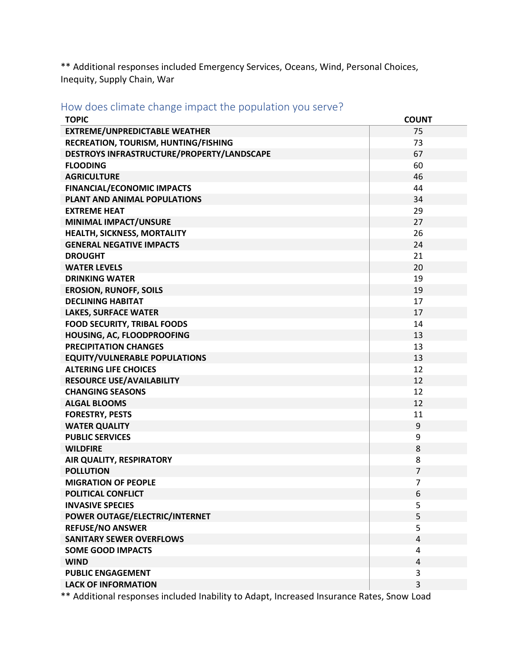\*\* Additional responses included Emergency Services, Oceans, Wind, Personal Choices, Inequity, Supply Chain, War

How does climate change impact the population you serve?

| <b>TOPIC</b>                               | <b>COUNT</b>   |
|--------------------------------------------|----------------|
| <b>EXTREME/UNPREDICTABLE WEATHER</b>       | 75             |
| RECREATION, TOURISM, HUNTING/FISHING       | 73             |
| DESTROYS INFRASTRUCTURE/PROPERTY/LANDSCAPE | 67             |
| <b>FLOODING</b>                            | 60             |
| <b>AGRICULTURE</b>                         | 46             |
| <b>FINANCIAL/ECONOMIC IMPACTS</b>          | 44             |
| PLANT AND ANIMAL POPULATIONS               | 34             |
| <b>EXTREME HEAT</b>                        | 29             |
| MINIMAL IMPACT/UNSURE                      | 27             |
| <b>HEALTH, SICKNESS, MORTALITY</b>         | 26             |
| <b>GENERAL NEGATIVE IMPACTS</b>            | 24             |
| <b>DROUGHT</b>                             | 21             |
| <b>WATER LEVELS</b>                        | 20             |
| <b>DRINKING WATER</b>                      | 19             |
| <b>EROSION, RUNOFF, SOILS</b>              | 19             |
| <b>DECLINING HABITAT</b>                   | 17             |
| <b>LAKES, SURFACE WATER</b>                | 17             |
| <b>FOOD SECURITY, TRIBAL FOODS</b>         | 14             |
| HOUSING, AC, FLOODPROOFING                 | 13             |
| <b>PRECIPITATION CHANGES</b>               | 13             |
| <b>EQUITY/VULNERABLE POPULATIONS</b>       | 13             |
| <b>ALTERING LIFE CHOICES</b>               | 12             |
| <b>RESOURCE USE/AVAILABILITY</b>           | 12             |
| <b>CHANGING SEASONS</b>                    | 12             |
| <b>ALGAL BLOOMS</b>                        | 12             |
| <b>FORESTRY, PESTS</b>                     | 11             |
| <b>WATER QUALITY</b>                       | 9              |
| <b>PUBLIC SERVICES</b>                     | 9              |
| <b>WILDFIRE</b>                            | 8              |
| <b>AIR QUALITY, RESPIRATORY</b>            | 8              |
| <b>POLLUTION</b>                           | $\overline{7}$ |
| <b>MIGRATION OF PEOPLE</b>                 | 7              |
| POLITICAL CONFLICT                         | 6              |
| <b>INVASIVE SPECIES</b>                    | 5              |
| POWER OUTAGE/ELECTRIC/INTERNET             | 5              |
| <b>REFUSE/NO ANSWER</b>                    | 5              |
| <b>SANITARY SEWER OVERFLOWS</b>            | 4              |
| <b>SOME GOOD IMPACTS</b>                   | 4              |
| <b>WIND</b>                                | $\overline{4}$ |
| <b>PUBLIC ENGAGEMENT</b>                   | 3              |
| <b>LACK OF INFORMATION</b>                 | 3              |
|                                            |                |

\*\* Additional responses included Inability to Adapt, Increased Insurance Rates, Snow Load